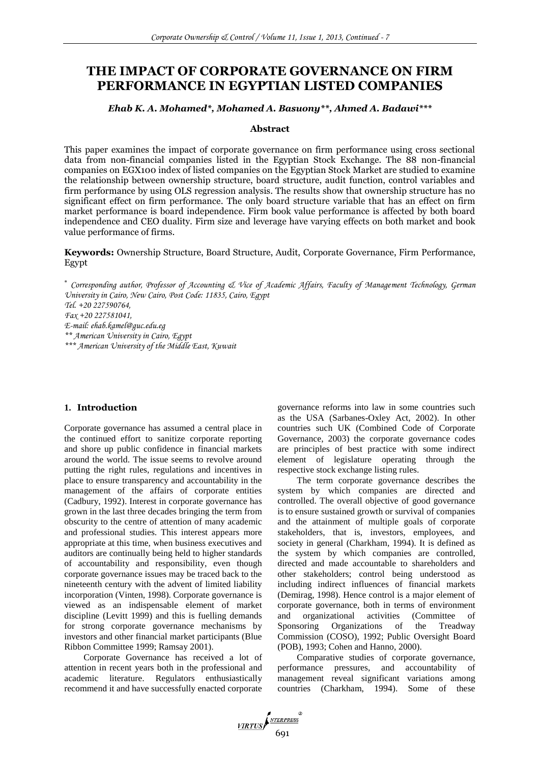# **THE IMPACT OF CORPORATE GOVERNANCE ON FIRM PERFORMANCE IN EGYPTIAN LISTED COMPANIES**

## *Ehab K. A. Mohamed\*, Mohamed A. Basuony\*\*, Ahmed A. Badawi\*\*\**

### **Abstract**

This paper examines the impact of corporate governance on firm performance using cross sectional data from non-financial companies listed in the Egyptian Stock Exchange. The 88 non-financial companies on EGX100 index of listed companies on the Egyptian Stock Market are studied to examine the relationship between ownership structure, board structure, audit function, control variables and firm performance by using OLS regression analysis. The results show that ownership structure has no significant effect on firm performance. The only board structure variable that has an effect on firm market performance is board independence. Firm book value performance is affected by both board independence and CEO duality. Firm size and leverage have varying effects on both market and book value performance of firms.

**Keywords:** Ownership Structure, Board Structure, Audit, Corporate Governance, Firm Performance, Egypt

 *Corresponding author, Professor of Accounting & Vice of Academic Affairs, Faculty of Management Technology, German University in Cairo, New Cairo, Post Code: 11835, Cairo, Egypt*

*Tel. +20 227590764,* 

*Fax +20 227581041,* 

*E-mail: ehab.kamel@guc.edu.eg*

*\*\* American University in Cairo, Egypt*

*\*\*\* American University of the Middle East, Kuwait*

## **1. Introduction**

Corporate governance has assumed a central place in the continued effort to sanitize corporate reporting and shore up public confidence in financial markets around the world. The issue seems to revolve around putting the right rules, regulations and incentives in place to ensure transparency and accountability in the management of the affairs of corporate entities (Cadbury, 1992). Interest in corporate governance has grown in the last three decades bringing the term from obscurity to the centre of attention of many academic and professional studies. This interest appears more appropriate at this time, when business executives and auditors are continually being held to higher standards of accountability and responsibility, even though corporate governance issues may be traced back to the nineteenth century with the advent of limited liability incorporation (Vinten, 1998). Corporate governance is viewed as an indispensable element of market discipline (Levitt 1999) and this is fuelling demands for strong corporate governance mechanisms by investors and other financial market participants (Blue Ribbon Committee 1999; Ramsay 2001).

Corporate Governance has received a lot of attention in recent years both in the professional and academic literature. Regulators enthusiastically recommend it and have successfully enacted corporate governance reforms into law in some countries such as the USA (Sarbanes-Oxley Act, 2002). In other countries such UK (Combined Code of Corporate Governance, 2003) the corporate governance codes are principles of best practice with some indirect element of legislature operating through the respective stock exchange listing rules.

The term corporate governance describes the system by which companies are directed and controlled. The overall objective of good governance is to ensure sustained growth or survival of companies and the attainment of multiple goals of corporate stakeholders, that is, investors, employees, and society in general (Charkham, 1994). It is defined as the system by which companies are controlled, directed and made accountable to shareholders and other stakeholders; control being understood as including indirect influences of financial markets (Demirag, 1998). Hence control is a major element of corporate governance, both in terms of environment and organizational activities (Committee of Sponsoring Organizations of the Treadway Sponsoring Organizations of the Treadway Commission (COSO), 1992; Public Oversight Board (POB), 1993; Cohen and Hanno, 2000).

Comparative studies of corporate governance, performance pressures, and accountability of management reveal significant variations among countries (Charkham, 1994). Some of these

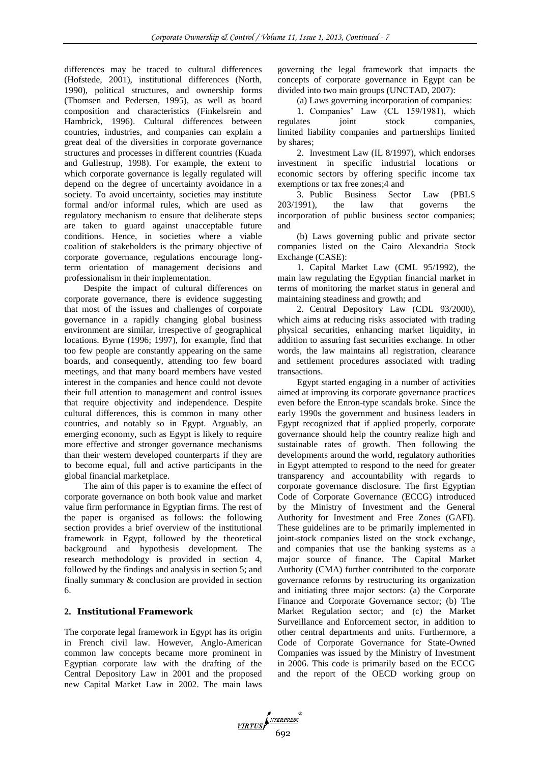differences may be traced to cultural differences (Hofstede, 2001), institutional differences (North, 1990), political structures, and ownership forms (Thomsen and Pedersen, 1995), as well as board composition and characteristics (Finkelsrein and Hambrick, 1996). Cultural differences between countries, industries, and companies can explain a great deal of the diversities in corporate governance structures and processes in different countries (Kuada and Gullestrup, 1998). For example, the extent to which corporate governance is legally regulated will depend on the degree of uncertainty avoidance in a society. To avoid uncertainty, societies may institute formal and/or informal rules, which are used as regulatory mechanism to ensure that deliberate steps are taken to guard against unacceptable future conditions. Hence, in societies where a viable coalition of stakeholders is the primary objective of corporate governance, regulations encourage longterm orientation of management decisions and professionalism in their implementation.

Despite the impact of cultural differences on corporate governance, there is evidence suggesting that most of the issues and challenges of corporate governance in a rapidly changing global business environment are similar, irrespective of geographical locations. Byrne (1996; 1997), for example, find that too few people are constantly appearing on the same boards, and consequently, attending too few board meetings, and that many board members have vested interest in the companies and hence could not devote their full attention to management and control issues that require objectivity and independence. Despite cultural differences, this is common in many other countries, and notably so in Egypt. Arguably, an emerging economy, such as Egypt is likely to require more effective and stronger governance mechanisms than their western developed counterparts if they are to become equal, full and active participants in the global financial marketplace.

The aim of this paper is to examine the effect of corporate governance on both book value and market value firm performance in Egyptian firms. The rest of the paper is organised as follows: the following section provides a brief overview of the institutional framework in Egypt, followed by the theoretical background and hypothesis development. The research methodology is provided in section 4, followed by the findings and analysis in section 5; and finally summary & conclusion are provided in section 6.

## **2. Institutional Framework**

The corporate legal framework in Egypt has its origin in French civil law. However, Anglo-American common law concepts became more prominent in Egyptian corporate law with the drafting of the Central Depository Law in 2001 and the proposed new Capital Market Law in 2002. The main laws governing the legal framework that impacts the concepts of corporate governance in Egypt can be divided into two main groups (UNCTAD, 2007):

(a) Laws governing incorporation of companies:

1. Companies' Law (CL 159/1981), which regulates joint stock companies, limited liability companies and partnerships limited by shares;

2. Investment Law (IL 8/1997), which endorses investment in specific industrial locations or economic sectors by offering specific income tax exemptions or tax free zones;4 and

3. Public Business Sector Law (PBLS 203/1991), the law that governs the incorporation of public business sector companies; and

(b) Laws governing public and private sector companies listed on the Cairo Alexandria Stock Exchange (CASE):

1. Capital Market Law (CML 95/1992), the main law regulating the Egyptian financial market in terms of monitoring the market status in general and maintaining steadiness and growth; and

2. Central Depository Law (CDL 93/2000), which aims at reducing risks associated with trading physical securities, enhancing market liquidity, in addition to assuring fast securities exchange. In other words, the law maintains all registration, clearance and settlement procedures associated with trading transactions.

Egypt started engaging in a number of activities aimed at improving its corporate governance practices even before the Enron-type scandals broke. Since the early 1990s the government and business leaders in Egypt recognized that if applied properly, corporate governance should help the country realize high and sustainable rates of growth. Then following the developments around the world, regulatory authorities in Egypt attempted to respond to the need for greater transparency and accountability with regards to corporate governance disclosure. The first Egyptian Code of Corporate Governance (ECCG) introduced by the Ministry of Investment and the General Authority for Investment and Free Zones (GAFI). These guidelines are to be primarily implemented in joint-stock companies listed on the stock exchange, and companies that use the banking systems as a major source of finance. The Capital Market Authority (CMA) further contributed to the corporate governance reforms by restructuring its organization and initiating three major sectors: (a) the Corporate Finance and Corporate Governance sector; (b) The Market Regulation sector; and (c) the Market Surveillance and Enforcement sector, in addition to other central departments and units. Furthermore, a Code of Corporate Governance for State-Owned Companies was issued by the Ministry of Investment in 2006. This code is primarily based on the ECCG and the report of the OECD working group on

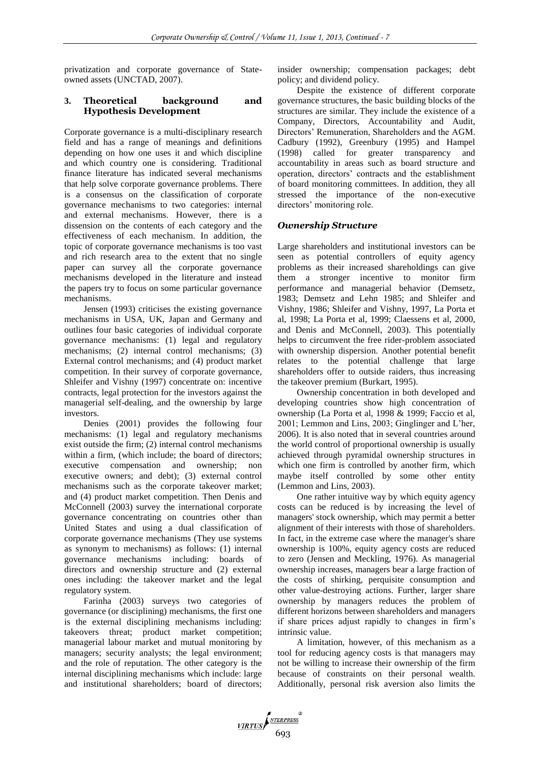privatization and corporate governance of Stateowned assets (UNCTAD, 2007).

## **3. Theoretical background and Hypothesis Development**

Corporate governance is a multi-disciplinary research field and has a range of meanings and definitions depending on how one uses it and which discipline and which country one is considering. Traditional finance literature has indicated several mechanisms that help solve corporate governance problems. There is a consensus on the classification of corporate governance mechanisms to two categories: internal and external mechanisms. However, there is a dissension on the contents of each category and the effectiveness of each mechanism. In addition, the topic of corporate governance mechanisms is too vast and rich research area to the extent that no single paper can survey all the corporate governance mechanisms developed in the literature and instead the papers try to focus on some particular governance mechanisms.

Jensen (1993) criticises the existing governance mechanisms in USA, UK, Japan and Germany and outlines four basic categories of individual corporate governance mechanisms: (1) legal and regulatory mechanisms; (2) internal control mechanisms; (3) External control mechanisms; and (4) product market competition. In their survey of corporate governance, Shleifer and Vishny (1997) concentrate on: incentive contracts, legal protection for the investors against the managerial self-dealing, and the ownership by large investors.

Denies (2001) provides the following four mechanisms: (1) legal and regulatory mechanisms exist outside the firm; (2) internal control mechanisms within a firm, (which include; the board of directors; executive compensation and ownership; non executive owners; and debt); (3) external control mechanisms such as the corporate takeover market; and (4) product market competition. Then Denis and McConnell (2003) survey the international corporate governance concentrating on countries other than United States and using a dual classification of corporate governance mechanisms (They use systems as synonym to mechanisms) as follows: (1) internal governance mechanisms including: boards of directors and ownership structure and (2) external ones including: the takeover market and the legal regulatory system.

Farinha (2003) surveys two categories of governance (or disciplining) mechanisms, the first one is the external disciplining mechanisms including: takeovers threat; product market competition; managerial labour market and mutual monitoring by managers; security analysts; the legal environment; and the role of reputation. The other category is the internal disciplining mechanisms which include: large and institutional shareholders; board of directors; insider ownership; compensation packages; debt policy; and dividend policy.

Despite the existence of different corporate governance structures, the basic building blocks of the structures are similar. They include the existence of a Company, Directors, Accountability and Audit, Directors' Remuneration, Shareholders and the AGM. Cadbury (1992), Greenbury (1995) and Hampel (1998) called for greater transparency and accountability in areas such as board structure and operation, directors' contracts and the establishment of board monitoring committees. In addition, they all stressed the importance of the non-executive directors' monitoring role.

## *Ownership Structure*

Large shareholders and institutional investors can be seen as potential controllers of equity agency problems as their increased shareholdings can give them a stronger incentive to monitor firm performance and managerial behavior (Demsetz, 1983; Demsetz and Lehn 1985; and Shleifer and Vishny, 1986; Shleifer and Vishny, 1997, La Porta et al, 1998; La Porta et al, 1999; Claessens et al, 2000, and Denis and McConnell, 2003). This potentially helps to circumvent the free rider-problem associated with ownership dispersion. Another potential benefit relates to the potential challenge that large shareholders offer to outside raiders, thus increasing the takeover premium (Burkart, 1995).

Ownership concentration in both developed and developing countries show high concentration of ownership (La Porta et al, 1998 & 1999; Faccio et al, 2001; Lemmon and Lins, 2003; Ginglinger and L'her, 2006). It is also noted that in several countries around the world control of proportional ownership is usually achieved through pyramidal ownership structures in which one firm is controlled by another firm, which maybe itself controlled by some other entity (Lemmon and Lins, 2003).

One rather intuitive way by which equity agency costs can be reduced is by increasing the level of managers' stock ownership, which may permit a better alignment of their interests with those of shareholders. In fact, in the extreme case where the manager's share ownership is 100%, equity agency costs are reduced to zero (Jensen and Meckling, 1976). As managerial ownership increases, managers bear a large fraction of the costs of shirking, perquisite consumption and other value-destroying actions. Further, larger share ownership by managers reduces the problem of different horizons between shareholders and managers if share prices adjust rapidly to changes in firm's intrinsic value.

A limitation, however, of this mechanism as a tool for reducing agency costs is that managers may not be willing to increase their ownership of the firm because of constraints on their personal wealth. Additionally, personal risk aversion also limits the

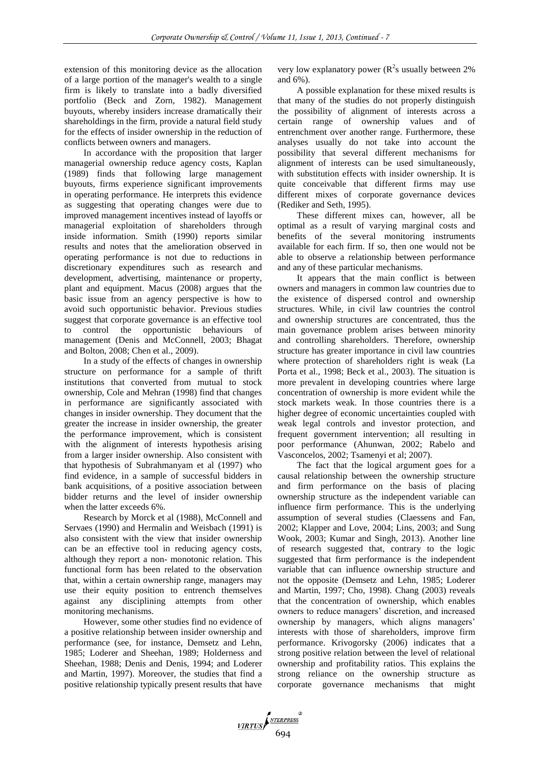extension of this monitoring device as the allocation of a large portion of the manager's wealth to a single firm is likely to translate into a badly diversified portfolio (Beck and Zorn, 1982). Management buyouts, whereby insiders increase dramatically their shareholdings in the firm, provide a natural field study for the effects of insider ownership in the reduction of conflicts between owners and managers.

In accordance with the proposition that larger managerial ownership reduce agency costs, Kaplan (1989) finds that following large management buyouts, firms experience significant improvements in operating performance. He interprets this evidence as suggesting that operating changes were due to improved management incentives instead of layoffs or managerial exploitation of shareholders through inside information. Smith (1990) reports similar results and notes that the amelioration observed in operating performance is not due to reductions in discretionary expenditures such as research and development, advertising, maintenance or property, plant and equipment. Macus (2008) argues that the basic issue from an agency perspective is how to avoid such opportunistic behavior. Previous studies suggest that corporate governance is an effective tool to control the opportunistic behaviours of management (Denis and McConnell, 2003; Bhagat and Bolton, 2008; Chen et al., 2009).

In a study of the effects of changes in ownership structure on performance for a sample of thrift institutions that converted from mutual to stock ownership, Cole and Mehran (1998) find that changes in performance are significantly associated with changes in insider ownership. They document that the greater the increase in insider ownership, the greater the performance improvement, which is consistent with the alignment of interests hypothesis arising from a larger insider ownership. Also consistent with that hypothesis of Subrahmanyam et al (1997) who find evidence, in a sample of successful bidders in bank acquisitions, of a positive association between bidder returns and the level of insider ownership when the latter exceeds 6%.

Research by Morck et al (1988), McConnell and Servaes (1990) and Hermalin and Weisbach (1991) is also consistent with the view that insider ownership can be an effective tool in reducing agency costs, although they report a non- monotonic relation. This functional form has been related to the observation that, within a certain ownership range, managers may use their equity position to entrench themselves against any disciplining attempts from other monitoring mechanisms.

However, some other studies find no evidence of a positive relationship between insider ownership and performance (see, for instance, Demsetz and Lehn, 1985; Loderer and Sheehan, 1989; Holderness and Sheehan, 1988; Denis and Denis, 1994; and Loderer and Martin, 1997). Moreover, the studies that find a positive relationship typically present results that have

very low explanatory power  $(R^2s)$  usually between 2% and 6%).

A possible explanation for these mixed results is that many of the studies do not properly distinguish the possibility of alignment of interests across a certain range of ownership values and of entrenchment over another range. Furthermore, these analyses usually do not take into account the possibility that several different mechanisms for alignment of interests can be used simultaneously, with substitution effects with insider ownership. It is quite conceivable that different firms may use different mixes of corporate governance devices (Rediker and Seth, 1995).

These different mixes can, however, all be optimal as a result of varying marginal costs and benefits of the several monitoring instruments available for each firm. If so, then one would not be able to observe a relationship between performance and any of these particular mechanisms.

It appears that the main conflict is between owners and managers in common law countries due to the existence of dispersed control and ownership structures. While, in civil law countries the control and ownership structures are concentrated, thus the main governance problem arises between minority and controlling shareholders. Therefore, ownership structure has greater importance in civil law countries where protection of shareholders right is weak (La Porta et al., 1998; Beck et al., 2003). The situation is more prevalent in developing countries where large concentration of ownership is more evident while the stock markets weak. In those countries there is a higher degree of economic uncertainties coupled with weak legal controls and investor protection, and frequent government intervention; all resulting in poor performance (Ahunwan, 2002; Rabelo and Vasconcelos, 2002; Tsamenyi et al; 2007).

The fact that the logical argument goes for a causal relationship between the ownership structure and firm performance on the basis of placing ownership structure as the independent variable can influence firm performance. This is the underlying assumption of several studies (Claessens and Fan, 2002; Klapper and Love, 2004; Lins, 2003; and Sung Wook, 2003; Kumar and Singh, 2013). Another line of research suggested that, contrary to the logic suggested that firm performance is the independent variable that can influence ownership structure and not the opposite (Demsetz and Lehn, 1985; Loderer and Martin, 1997; Cho, 1998). Chang (2003) reveals that the concentration of ownership, which enables owners to reduce managers' discretion, and increased ownership by managers, which aligns managers' interests with those of shareholders, improve firm performance. Krivogorsky (2006) indicates that a strong positive relation between the level of relational ownership and profitability ratios. This explains the strong reliance on the ownership structure as corporate governance mechanisms that might

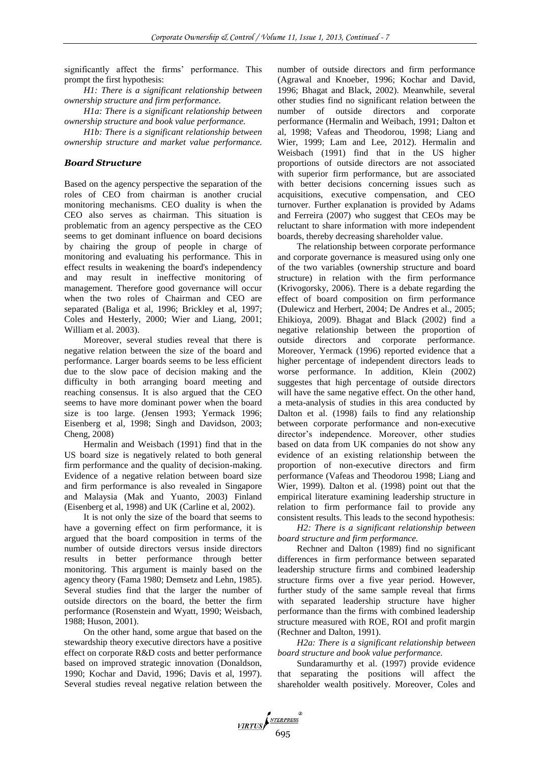significantly affect the firms' performance. This prompt the first hypothesis:

*H1: There is a significant relationship between ownership structure and firm performance.*

*H1a: There is a significant relationship between ownership structure and book value performance.*

*H1b: There is a significant relationship between ownership structure and market value performance.*

## *Board Structure*

Based on the agency perspective the separation of the roles of CEO from chairman is another crucial monitoring mechanisms. CEO duality is when the CEO also serves as chairman. This situation is problematic from an agency perspective as the CEO seems to get dominant influence on board decisions by chairing the group of people in charge of monitoring and evaluating his performance. This in effect results in weakening the board's independency and may result in ineffective monitoring of management. Therefore good governance will occur when the two roles of Chairman and CEO are separated (Baliga et al, 1996; Brickley et al, 1997; Coles and Hesterly, 2000; Wier and Liang, 2001; William et al. 2003).

Moreover, several studies reveal that there is negative relation between the size of the board and performance. Larger boards seems to be less efficient due to the slow pace of decision making and the difficulty in both arranging board meeting and reaching consensus. It is also argued that the CEO seems to have more dominant power when the board size is too large. (Jensen 1993; Yermack 1996; Eisenberg et al, 1998; Singh and Davidson, 2003; Cheng, 2008)

Hermalin and Weisbach (1991) find that in the US board size is negatively related to both general firm performance and the quality of decision-making. Evidence of a negative relation between board size and firm performance is also revealed in Singapore and Malaysia (Mak and Yuanto, 2003) Finland (Eisenberg et al, 1998) and UK (Carline et al, 2002).

It is not only the size of the board that seems to have a governing effect on firm performance, it is argued that the board composition in terms of the number of outside directors versus inside directors results in better performance through better monitoring. This argument is mainly based on the agency theory (Fama 1980; Demsetz and Lehn, 1985). Several studies find that the larger the number of outside directors on the board, the better the firm performance (Rosenstein and Wyatt, 1990; Weisbach, 1988; Huson, 2001).

On the other hand, some argue that based on the stewardship theory executive directors have a positive effect on corporate R&D costs and better performance based on improved strategic innovation (Donaldson, 1990; Kochar and David, 1996; Davis et al, 1997). Several studies reveal negative relation between the

VIRTUS NEERPRESS

number of outside directors and firm performance (Agrawal and Knoeber, 1996; Kochar and David, 1996; Bhagat and Black, 2002). Meanwhile, several other studies find no significant relation between the number of outside directors and corporate performance (Hermalin and Weibach, 1991; Dalton et al, 1998; Vafeas and Theodorou, 1998; Liang and Wier, 1999; Lam and Lee, 2012). Hermalin and Weisbach (1991) find that in the US higher proportions of outside directors are not associated with superior firm performance, but are associated with better decisions concerning issues such as acquisitions, executive compensation, and CEO turnover. Further explanation is provided by Adams and Ferreira (2007) who suggest that CEOs may be reluctant to share information with more independent boards, thereby decreasing shareholder value.

The relationship between corporate performance and corporate governance is measured using only one of the two variables (ownership structure and board structure) in relation with the firm performance (Krivogorsky, 2006). There is a debate regarding the effect of board composition on firm performance (Dulewicz and Herbert, 2004; De Andres et al., 2005; Ehikioya, 2009). Bhagat and Black (2002) find a negative relationship between the proportion of outside directors and corporate performance. Moreover, Yermack (1996) reported evidence that a higher percentage of independent directors leads to worse performance. In addition, Klein (2002) suggestes that high percentage of outside directors will have the same negative effect. On the other hand, a meta-analysis of studies in this area conducted by Dalton et al. (1998) fails to find any relationship between corporate performance and non-executive director's independence. Moreover, other studies based on data from UK companies do not show any evidence of an existing relationship between the proportion of non-executive directors and firm performance (Vafeas and Theodorou 1998; Liang and Wier, 1999). Dalton et al. (1998) point out that the empirical literature examining leadership structure in relation to firm performance fail to provide any consistent results. This leads to the second hypothesis:

*H2: There is a significant relationship between board structure and firm performance.*

Rechner and Dalton (1989) find no significant differences in firm performance between separated leadership structure firms and combined leadership structure firms over a five year period. However, further study of the same sample reveal that firms with separated leadership structure have higher performance than the firms with combined leadership structure measured with ROE, ROI and profit margin (Rechner and Dalton, 1991).

*H2a: There is a significant relationship between board structure and book value performance.*

Sundaramurthy et al. (1997) provide evidence that separating the positions will affect the shareholder wealth positively. Moreover, Coles and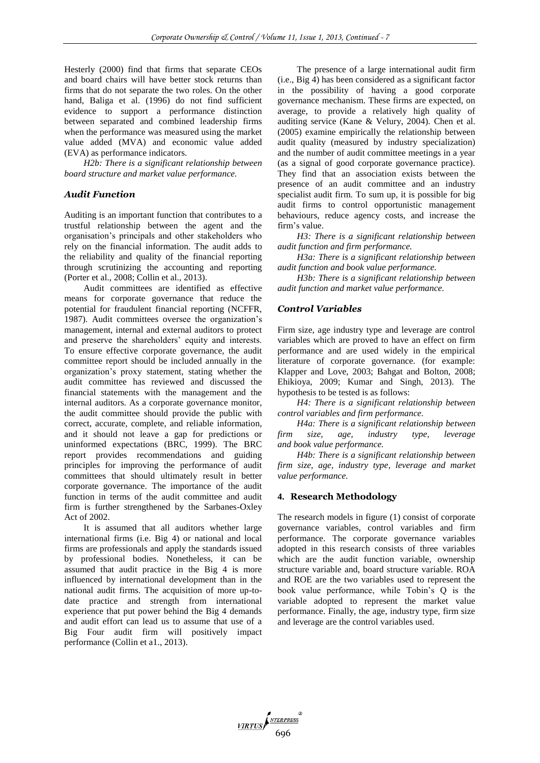Hesterly (2000) find that firms that separate CEOs and board chairs will have better stock returns than firms that do not separate the two roles. On the other hand, Baliga et al. (1996) do not find sufficient evidence to support a performance distinction between separated and combined leadership firms when the performance was measured using the market value added (MVA) and economic value added (EVA) as performance indicators.

*H2b: There is a significant relationship between board structure and market value performance.*

## *Audit Function*

Auditing is an important function that contributes to a trustful relationship between the agent and the organisation's principals and other stakeholders who rely on the financial information. The audit adds to the reliability and quality of the financial reporting through scrutinizing the accounting and reporting (Porter et al., 2008; Collin et al., 2013).

Audit committees are identified as effective means for corporate governance that reduce the potential for fraudulent financial reporting (NCFFR, 1987). Audit committees oversee the organization's management, internal and external auditors to protect and preserve the shareholders' equity and interests. To ensure effective corporate governance, the audit committee report should be included annually in the organization's proxy statement, stating whether the audit committee has reviewed and discussed the financial statements with the management and the internal auditors. As a corporate governance monitor, the audit committee should provide the public with correct, accurate, complete, and reliable information, and it should not leave a gap for predictions or uninformed expectations (BRC, 1999). The BRC report provides recommendations and guiding principles for improving the performance of audit committees that should ultimately result in better corporate governance. The importance of the audit function in terms of the audit committee and audit firm is further strengthened by the Sarbanes-Oxley Act of 2002.

It is assumed that all auditors whether large international firms (i.e. Big 4) or national and local firms are professionals and apply the standards issued by professional bodies. Nonetheless, it can be assumed that audit practice in the Big 4 is more influenced by international development than in the national audit firms. The acquisition of more up-todate practice and strength from international experience that put power behind the Big 4 demands and audit effort can lead us to assume that use of a Big Four audit firm will positively impact performance (Collin et a1., 2013).

The presence of a large international audit firm (i.e., Big 4) has been considered as a significant factor in the possibility of having a good corporate governance mechanism. These firms are expected, on average, to provide a relatively high quality of auditing service (Kane & Velury, 2004). Chen et al. (2005) examine empirically the relationship between audit quality (measured by industry specialization) and the number of audit committee meetings in a year (as a signal of good corporate governance practice). They find that an association exists between the presence of an audit committee and an industry specialist audit firm. To sum up, it is possible for big audit firms to control opportunistic management behaviours, reduce agency costs, and increase the firm's value.

*H3: There is a significant relationship between audit function and firm performance.*

*H3a: There is a significant relationship between audit function and book value performance.*

*H3b: There is a significant relationship between audit function and market value performance.*

#### *Control Variables*

Firm size, age industry type and leverage are control variables which are proved to have an effect on firm performance and are used widely in the empirical literature of corporate governance. (for example: Klapper and Love, 2003; Bahgat and Bolton, 2008; Ehikioya, 2009; Kumar and Singh, 2013). The hypothesis to be tested is as follows:

*H4: There is a significant relationship between control variables and firm performance.*

*H4a: There is a significant relationship between firm size, age, industry type, leverage and book value performance.*

*H4b: There is a significant relationship between firm size, age, industry type, leverage and market value performance.*

#### **4. Research Methodology**

The research models in figure (1) consist of corporate governance variables, control variables and firm performance. The corporate governance variables adopted in this research consists of three variables which are the audit function variable, ownership structure variable and, board structure variable. ROA and ROE are the two variables used to represent the book value performance, while Tobin's Q is the variable adopted to represent the market value performance. Finally, the age, industry type, firm size and leverage are the control variables used.

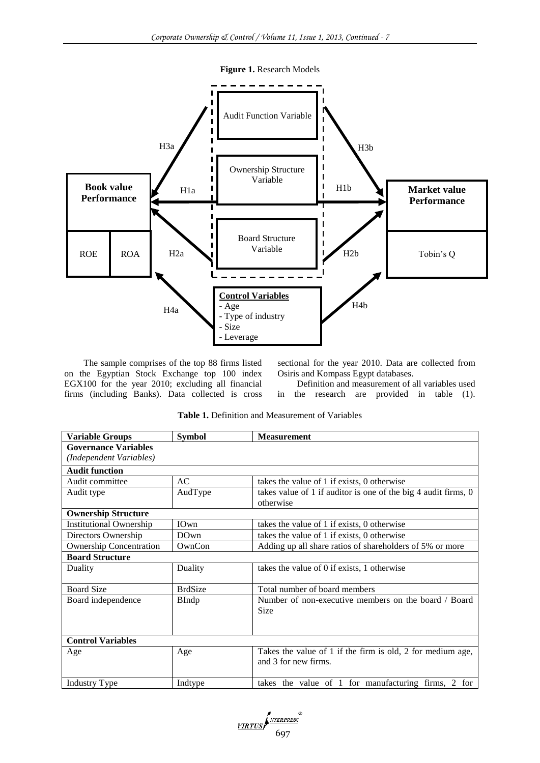



The sample comprises of the top 88 firms listed on the Egyptian Stock Exchange top 100 index EGX100 for the year 2010; excluding all financial firms (including Banks). Data collected is cross sectional for the year 2010. Data are collected from Osiris and Kompass Egypt databases.

Definition and measurement of all variables used in the research are provided in table (1).

| <b>Variable Groups</b>         | <b>Symbol</b>  | <b>Measurement</b>                                                                 |
|--------------------------------|----------------|------------------------------------------------------------------------------------|
| <b>Governance Variables</b>    |                |                                                                                    |
| (Independent Variables)        |                |                                                                                    |
| <b>Audit function</b>          |                |                                                                                    |
| Audit committee                | AC             | takes the value of 1 if exists, 0 otherwise                                        |
| Audit type                     | AudType        | takes value of 1 if auditor is one of the big 4 audit firms, 0<br>otherwise        |
| <b>Ownership Structure</b>     |                |                                                                                    |
| <b>Institutional Ownership</b> | IOwn           | takes the value of 1 if exists, 0 otherwise                                        |
| Directors Ownership            | DOwn           | takes the value of 1 if exists, 0 otherwise                                        |
| <b>Ownership Concentration</b> | OwnCon         | Adding up all share ratios of shareholders of 5% or more                           |
| <b>Board Structure</b>         |                |                                                                                    |
| Duality                        | Duality        | takes the value of 0 if exists, 1 otherwise                                        |
| <b>Board Size</b>              | <b>BrdSize</b> | Total number of board members                                                      |
| Board independence             | <b>BIndp</b>   | Number of non-executive members on the board / Board                               |
|                                |                | <b>Size</b>                                                                        |
|                                |                |                                                                                    |
| <b>Control Variables</b>       |                |                                                                                    |
| Age                            | Age            | Takes the value of 1 if the firm is old, 2 for medium age,<br>and 3 for new firms. |

**Table 1.** Definition and Measurement of Variables



Industry Type Industry Type Industry Type Industry Type Industry Type Industry Type Industry Type Industry Type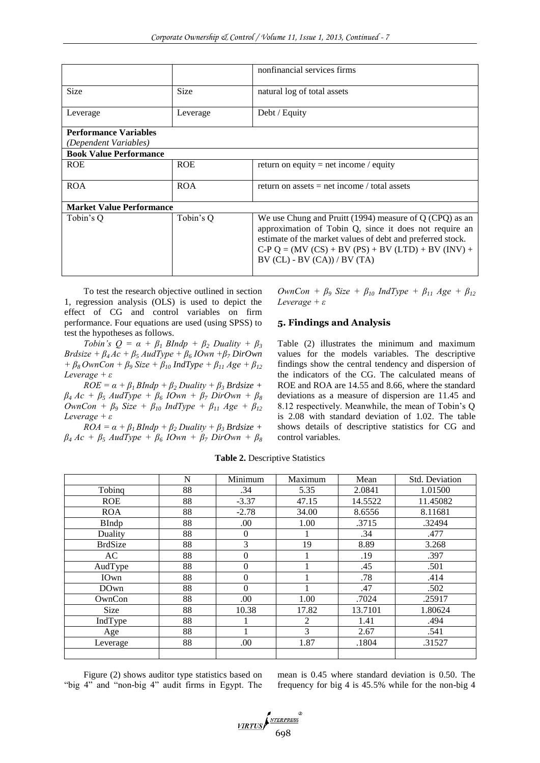|                                 |             | nonfinancial services firms                                                                                                                                                                                                                                                |
|---------------------------------|-------------|----------------------------------------------------------------------------------------------------------------------------------------------------------------------------------------------------------------------------------------------------------------------------|
| <b>Size</b>                     | <b>Size</b> | natural log of total assets                                                                                                                                                                                                                                                |
| Leverage                        | Leverage    | Debt / Equity                                                                                                                                                                                                                                                              |
| <b>Performance Variables</b>    |             |                                                                                                                                                                                                                                                                            |
| (Dependent Variables)           |             |                                                                                                                                                                                                                                                                            |
| <b>Book Value Performance</b>   |             |                                                                                                                                                                                                                                                                            |
| <b>ROE</b>                      | <b>ROE</b>  | return on equity = net income / equity                                                                                                                                                                                                                                     |
| <b>ROA</b>                      | <b>ROA</b>  | return on assets $=$ net income / total assets                                                                                                                                                                                                                             |
| <b>Market Value Performance</b> |             |                                                                                                                                                                                                                                                                            |
| Tobin's O                       | Tobin's Q   | We use Chung and Pruitt (1994) measure of $Q$ (CPQ) as an<br>approximation of Tobin Q, since it does not require an<br>estimate of the market values of debt and preferred stock.<br>$C-PQ = (MV (CS) + BV (PS) + BV (LTD) + BV (INV) +$<br>$BV (CL) - BV (CA)) / BV (TA)$ |

To test the research objective outlined in section 1, regression analysis (OLS) is used to depict the effect of CG and control variables on firm performance. Four equations are used (using SPSS) to test the hypotheses as follows.

*Tobin's*  $Q = \alpha + \beta_1$  *BIndp* +  $\beta_2$  *Duality* +  $\beta_3$  $Brdsize + \beta_4 Ac + \beta_5 AudType + \beta_6 IOwn + \beta_7 DirOwn$ *+ β8 OwnCon + β<sup>9</sup> Size + β<sup>10</sup> IndType + β<sup>11</sup> Age + β<sup>12</sup> Leverage + ε* 

 $ROE = \alpha + \beta_1 BIndp + \beta_2 Duality + \beta_3 Brdsize +$  $\beta_4$  *Ac* +  $\beta_5$  *AudType* +  $\beta_6$  *IOwn* +  $\beta_7$  *DirOwn* +  $\beta_8$ *OwnCon + β<sup>9</sup> Size + β<sup>10</sup> IndType + β<sup>11</sup> Age + β<sup>12</sup> Leverage + ε*

 $ROA = \alpha + \beta_1 BIndp + \beta_2 Duality + \beta_3 Brdsize +$  $\beta_4$  *Ac* +  $\beta_5$  *AudType* +  $\beta_6$  *IOwn* +  $\beta_7$  *DirOwn* +  $\beta_8$  *OwnCon + β<sup>9</sup> Size + β<sup>10</sup> IndType + β<sup>11</sup> Age + β<sup>12</sup> Leverage + ε*

## **5. Findings and Analysis**

Table (2) illustrates the minimum and maximum values for the models variables. The descriptive findings show the central tendency and dispersion of the indicators of the CG. The calculated means of ROE and ROA are 14.55 and 8.66, where the standard deviations as a measure of dispersion are 11.45 and 8.12 respectively. Meanwhile, the mean of Tobin's Q is 2.08 with standard deviation of 1.02. The table shows details of descriptive statistics for CG and control variables.

|                | N  | Minimum  | Maximum | Mean    | Std. Deviation |
|----------------|----|----------|---------|---------|----------------|
| Tobinq         | 88 | .34      | 5.35    | 2.0841  | 1.01500        |
| <b>ROE</b>     | 88 | $-3.37$  | 47.15   | 14.5522 | 11.45082       |
| <b>ROA</b>     | 88 | $-2.78$  | 34.00   | 8.6556  | 8.11681        |
| <b>BIndp</b>   | 88 | .00.     | 1.00    | .3715   | .32494         |
| Duality        | 88 | $\Omega$ |         | .34     | .477           |
| <b>BrdSize</b> | 88 | 3        | 19      | 8.89    | 3.268          |
| AC             | 88 | 0        |         | .19     | .397           |
| AudType        | 88 | $\Omega$ |         | .45     | .501           |
| IOwn           | 88 | $\Omega$ |         | .78     | .414           |
| DOwn           | 88 | $\Omega$ |         | .47     | .502           |
| OwnCon         | 88 | .00      | 1.00    | .7024   | .25917         |
| <b>Size</b>    | 88 | 10.38    | 17.82   | 13.7101 | 1.80624        |
| IndType        | 88 |          | 2       | 1.41    | .494           |
| Age            | 88 |          | 3       | 2.67    | .541           |
| Leverage       | 88 | .00      | 1.87    | .1804   | .31527         |
|                |    |          |         |         |                |

**Table 2.** Descriptive Statistics

Figure (2) shows auditor type statistics based on "big 4" and "non-big 4" audit firms in Egypt. The mean is 0.45 where standard deviation is 0.50. The frequency for big 4 is 45.5% while for the non-big 4

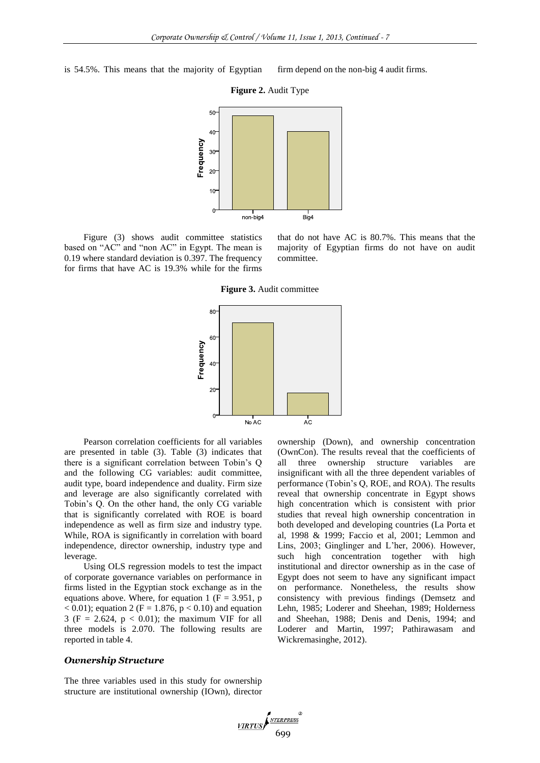is 54.5%. This means that the majority of Egyptian firm depend on the non-big 4 audit firms.



Figure (3) shows audit committee statistics based on "AC" and "non AC" in Egypt. The mean is 0.19 where standard deviation is 0.397. The frequency for firms that have AC is 19.3% while for the firms

that do not have AC is 80.7%. This means that the majority of Egyptian firms do not have on audit committee.

**Figure 3.** Audit committee



Pearson correlation coefficients for all variables are presented in table (3). Table (3) indicates that there is a significant correlation between Tobin's Q and the following CG variables: audit committee, audit type, board independence and duality. Firm size and leverage are also significantly correlated with Tobin's Q. On the other hand, the only CG variable that is significantly correlated with ROE is board independence as well as firm size and industry type. While, ROA is significantly in correlation with board independence, director ownership, industry type and leverage.

Using OLS regression models to test the impact of corporate governance variables on performance in firms listed in the Egyptian stock exchange as in the equations above. Where, for equation 1 ( $F = 3.951$ , p  $< 0.01$ ); equation 2 (F = 1.876, p  $< 0.10$ ) and equation 3 (F = 2.624,  $p < 0.01$ ); the maximum VIF for all three models is 2.070. The following results are reported in table 4.

#### *Ownership Structure*

The three variables used in this study for ownership structure are institutional ownership (IOwn), director ownership (Down), and ownership concentration (OwnCon). The results reveal that the coefficients of all three ownership structure variables are insignificant with all the three dependent variables of performance (Tobin's Q, ROE, and ROA). The results reveal that ownership concentrate in Egypt shows high concentration which is consistent with prior studies that reveal high ownership concentration in both developed and developing countries (La Porta et al, 1998 & 1999; Faccio et al, 2001; Lemmon and Lins, 2003; Ginglinger and L'her, 2006). However, such high concentration together with high institutional and director ownership as in the case of Egypt does not seem to have any significant impact on performance. Nonetheless, the results show consistency with previous findings (Demsetz and Lehn, 1985; Loderer and Sheehan, 1989; Holderness and Sheehan, 1988; Denis and Denis, 1994; and Loderer and Martin, 1997; Pathirawasam and Wickremasinghe, 2012).

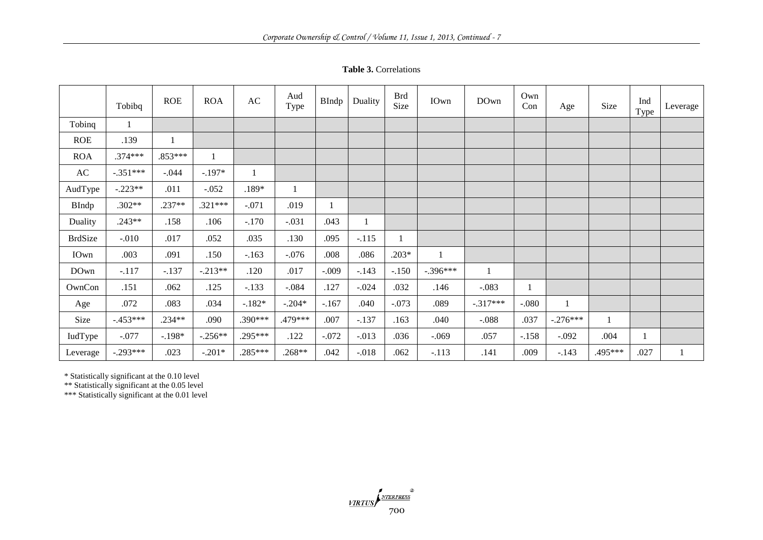**Table 3.** Correlations

|                | Tobibq       | <b>ROE</b> | <b>ROA</b> | $\mathbf{A}\mathbf{C}$ | Aud<br>Type  | BIndp          | Duality | <b>Brd</b><br>Size | IOwn         | DOwn       | Own<br>Con | Age        | Size    | Ind<br>Type | Leverage |
|----------------|--------------|------------|------------|------------------------|--------------|----------------|---------|--------------------|--------------|------------|------------|------------|---------|-------------|----------|
| Tobinq         | $\mathbf{1}$ |            |            |                        |              |                |         |                    |              |            |            |            |         |             |          |
| <b>ROE</b>     | .139         | 1          |            |                        |              |                |         |                    |              |            |            |            |         |             |          |
| <b>ROA</b>     | $.374***$    | $.853***$  |            |                        |              |                |         |                    |              |            |            |            |         |             |          |
| AC             | $-.351***$   | $-.044$    | $-.197*$   |                        |              |                |         |                    |              |            |            |            |         |             |          |
| AudType        | $-.223**$    | .011       | $-.052$    | $.189*$                | $\mathbf{1}$ |                |         |                    |              |            |            |            |         |             |          |
| <b>BIndp</b>   | $.302**$     | .237**     | $.321***$  | $-.071$                | .019         | $\overline{1}$ |         |                    |              |            |            |            |         |             |          |
| Duality        | $.243**$     | .158       | .106       | $-.170$                | $-.031$      | .043           |         |                    |              |            |            |            |         |             |          |
| <b>BrdSize</b> | $-.010$      | .017       | .052       | .035                   | .130         | .095           | $-.115$ |                    |              |            |            |            |         |             |          |
| IOwn           | .003         | .091       | .150       | $-.163$                | $-.076$      | .008           | .086    | $.203*$            | $\mathbf{1}$ |            |            |            |         |             |          |
| DOwn           | $-.117$      | $-.137$    | $-.213**$  | .120                   | .017         | $-.009$        | $-.143$ | $-.150$            | $-.396***$   | 1          |            |            |         |             |          |
| OwnCon         | .151         | .062       | .125       | $-.133$                | $-.084$      | .127           | $-.024$ | .032               | .146         | $-.083$    |            |            |         |             |          |
| Age            | .072         | .083       | .034       | $-.182*$               | $-.204*$     | $-.167$        | .040    | $-.073$            | .089         | $-.317***$ | $-0.080$   |            |         |             |          |
| Size           | $-453***$    | .234**     | .090       | $.390***$              | .479***      | .007           | $-.137$ | .163               | .040         | $-.088$    | .037       | $-.276***$ | 1       |             |          |
| IudType        | $-.077$      | $-.198*$   | $-.256**$  | .295***                | .122         | $-.072$        | $-.013$ | .036               | $-0.069$     | .057       | $-.158$    | $-.092$    | .004    |             |          |
| Leverage       | $-.293***$   | .023       | $-.201*$   | .285***                | $.268**$     | .042           | $-.018$ | .062               | $-.113$      | .141       | .009       | $-.143$    | .495*** | .027        | 1        |

\* Statistically significant at the 0.10 level

\*\* Statistically significant at the 0.05 level

\*\*\* Statistically significant at the 0.01 level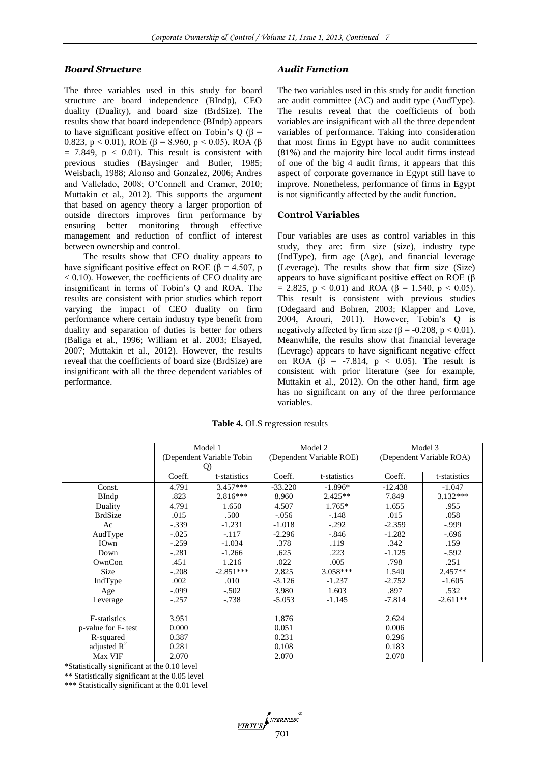## *Board Structure*

The three variables used in this study for board structure are board independence (BIndp), CEO duality (Duality), and board size (BrdSize). The results show that board independence (BIndp) appears to have significant positive effect on Tobin's Q ( $\beta$  = 0.823, p < 0.01), ROE (β = 8.960, p < 0.05), ROA (β  $= 7.849$ ,  $p < 0.01$ ). This result is consistent with previous studies (Baysinger and Butler, 1985; Weisbach, 1988; Alonso and Gonzalez, 2006; Andres and Vallelado, 2008; O'Connell and Cramer, 2010; Muttakin et al., 2012). This supports the argument that based on agency theory a larger proportion of outside directors improves firm performance by ensuring better monitoring through effective management and reduction of conflict of interest between ownership and control.

The results show that CEO duality appears to have significant positive effect on ROE ( $\beta$  = 4.507, p < 0.10). However, the coefficients of CEO duality are insignificant in terms of Tobin's Q and ROA. The results are consistent with prior studies which report varying the impact of CEO duality on firm performance where certain industry type benefit from duality and separation of duties is better for others (Baliga et al., 1996; William et al. 2003; Elsayed, 2007; Muttakin et al., 2012). However, the results reveal that the coefficients of board size (BrdSize) are insignificant with all the three dependent variables of performance.

## *Audit Function*

The two variables used in this study for audit function are audit committee (AC) and audit type (AudType). The results reveal that the coefficients of both variables are insignificant with all the three dependent variables of performance. Taking into consideration that most firms in Egypt have no audit committees (81%) and the majority hire local audit firms instead of one of the big 4 audit firms, it appears that this aspect of corporate governance in Egypt still have to improve. Nonetheless, performance of firms in Egypt is not significantly affected by the audit function.

## **Control Variables**

Four variables are uses as control variables in this study, they are: firm size (size), industry type (IndType), firm age (Age), and financial leverage (Leverage). The results show that firm size (Size) appears to have significant positive effect on ROE (β  $= 2.825$ , p < 0.01) and ROA (β = 1.540, p < 0.05). This result is consistent with previous studies (Odegaard and Bohren, 2003; Klapper and Love, 2004, Arouri, 2011). However, Tobin's Q is negatively affected by firm size ( $β = -0.208$ ,  $p < 0.01$ ). Meanwhile, the results show that financial leverage (Levrage) appears to have significant negative effect on ROA ( $\beta$  = -7.814,  $p$  < 0.05). The result is consistent with prior literature (see for example, Muttakin et al., 2012). On the other hand, firm age has no significant on any of the three performance variables.

**Table 4.** OLS regression results

|                     |                            | Model 1      |           | Model 2                  | Model 3                  |              |  |
|---------------------|----------------------------|--------------|-----------|--------------------------|--------------------------|--------------|--|
|                     | (Dependent Variable Tobin) |              |           | (Dependent Variable ROE) | (Dependent Variable ROA) |              |  |
|                     | Q)                         |              |           |                          |                          |              |  |
|                     | Coeff.                     | t-statistics | Coeff.    | t-statistics             | Coeff.                   | t-statistics |  |
| Const.              | 4.791                      | $3.457***$   | $-33.220$ | $-1.896*$                | $-12.438$                | $-1.047$     |  |
| BIndp               | .823                       | $2.816***$   | 8.960     | $2.425**$                | 7.849                    | $3.132***$   |  |
| Duality             | 4.791                      | 1.650        | 4.507     | $1.765*$                 | 1.655                    | .955         |  |
| <b>BrdSize</b>      | .015                       | .500         | $-.056$   | $-.148$                  | .015                     | .058         |  |
| Ac                  | $-.339$                    | $-1.231$     | $-1.018$  | $-.292$                  | $-2.359$                 | $-0.999$     |  |
| AudType             | $-.025$                    | $-.117$      | $-2.296$  | $-.846$                  | $-1.282$                 | $-.696$      |  |
| IOwn                | $-.259$                    | $-1.034$     | .378      | .119                     | .342                     | .159         |  |
| Down                | $-.281$                    | $-1.266$     | .625      | .223                     | $-1.125$                 | $-.592$      |  |
| OwnCon              | .451                       | 1.216        | .022      | .005                     | .798                     | .251         |  |
| Size                | $-.208$                    | $-2.851***$  | 2.825     | $3.058***$               | 1.540                    | $2.457**$    |  |
| IndType             | .002                       | .010         | $-3.126$  | $-1.237$                 | $-2.752$                 | $-1.605$     |  |
| Age                 | $-.099$                    | $-.502$      | 3.980     | 1.603                    | .897                     | .532         |  |
| Leverage            | $-.257$                    | $-.738$      | $-5.053$  | $-1.145$                 | $-7.814$                 | $-2.611**$   |  |
|                     |                            |              |           |                          |                          |              |  |
| F-statistics        | 3.951                      |              | 1.876     |                          | 2.624                    |              |  |
| p-value for F- test | 0.000                      |              | 0.051     |                          | 0.006                    |              |  |
| R-squared           | 0.387                      |              | 0.231     |                          | 0.296                    |              |  |
| adjusted $R^2$      | 0.281                      |              | 0.108     |                          | 0.183                    |              |  |
| Max VIF             | 2.070                      |              | 2.070     |                          | 2.070                    |              |  |

\*Statistically significant at the 0.10 level

\*\* Statistically significant at the 0.05 level

\*\*\* Statistically significant at the 0.01 level

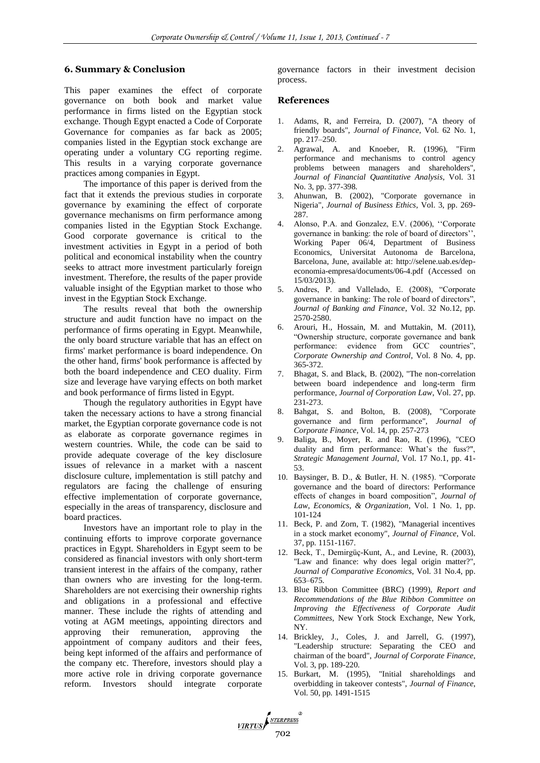## **6. Summary & Conclusion**

This paper examines the effect of corporate governance on both book and market value performance in firms listed on the Egyptian stock exchange. Though Egypt enacted a Code of Corporate Governance for companies as far back as 2005; companies listed in the Egyptian stock exchange are operating under a voluntary CG reporting regime. This results in a varying corporate governance practices among companies in Egypt.

The importance of this paper is derived from the fact that it extends the previous studies in corporate governance by examining the effect of corporate governance mechanisms on firm performance among companies listed in the Egyptian Stock Exchange. Good corporate governance is critical to the investment activities in Egypt in a period of both political and economical instability when the country seeks to attract more investment particularly foreign investment. Therefore, the results of the paper provide valuable insight of the Egyptian market to those who invest in the Egyptian Stock Exchange.

The results reveal that both the ownership structure and audit function have no impact on the performance of firms operating in Egypt. Meanwhile, the only board structure variable that has an effect on firms' market performance is board independence. On the other hand, firms' book performance is affected by both the board independence and CEO duality. Firm size and leverage have varying effects on both market and book performance of firms listed in Egypt.

Though the regulatory authorities in Egypt have taken the necessary actions to have a strong financial market, the Egyptian corporate governance code is not as elaborate as corporate governance regimes in western countries. While, the code can be said to provide adequate coverage of the key disclosure issues of relevance in a market with a nascent disclosure culture, implementation is still patchy and regulators are facing the challenge of ensuring effective implementation of corporate governance, especially in the areas of transparency, disclosure and board practices.

Investors have an important role to play in the continuing efforts to improve corporate governance practices in Egypt. Shareholders in Egypt seem to be considered as financial investors with only short-term transient interest in the affairs of the company, rather than owners who are investing for the long-term. Shareholders are not exercising their ownership rights and obligations in a professional and effective manner. These include the rights of attending and voting at AGM meetings, appointing directors and approving their remuneration, approving the appointment of company auditors and their fees, being kept informed of the affairs and performance of the company etc. Therefore, investors should play a more active role in driving corporate governance reform. Investors should integrate corporate

governance factors in their investment decision process.

#### **References**

- 1. Adams, R, and Ferreira, D. (2007), "A theory of friendly boards", *Journal of Finance*, Vol. 62 No. 1, pp. 217–250.
- 2. Agrawal, A. and Knoeber, R. (1996), "Firm performance and mechanisms to control agency problems between managers and shareholders", *Journal of Financial Quantitative Analysis*, Vol. 31 No. 3, pp. 377-398.
- 3. Ahunwan, B. (2002), "Corporate governance in Nigeria", *Journal of Business Ethics*, Vol. 3, pp. 269- 287.
- 4. Alonso, P.A. and Gonzalez, E.V. (2006), ''Corporate governance in banking: the role of board of directors'', Working Paper 06/4, Department of Business Economics, Universitat Autonoma de Barcelona, Barcelona, June, available at: http://selene.uab.es/depeconomia-empresa/documents/06-4.pdf (Accessed on 15/03/2013).
- 5. Andres, P. and Vallelado, E. (2008), "Corporate governance in banking: The role of board of directors", *Journal of Banking and Finance*, Vol. 32 No.12, pp. 2570-2580.
- 6. Arouri, H., Hossain, M. and Muttakin, M. (2011), "Ownership structure, corporate governance and bank performance: evidence from GCC countries", *Corporate Ownership and Control*, Vol. 8 No. 4, pp. 365-372.
- 7. Bhagat, S. and Black, B. (2002), "The non-correlation between board independence and long-term firm performance, *Journal of Corporation Law*, Vol. 27, pp. 231-273.
- 8. Bahgat, S. and Bolton, B. (2008), "Corporate governance and firm performance", *Journal of Corporate Finance*, Vol. 14, pp. 257-273
- 9. Baliga, B., Moyer, R. and Rao, R. (1996), "CEO duality and firm performance: What's the fuss?", *Strategic Management Journal*, Vol. 17 No.1, pp. 41- 53.
- 10. Baysinger, B. D., & Butler, H. N. (1985). "Corporate governance and the board of directors: Performance effects of changes in board composition", *Journal of Law, Economics, & Organization*, Vol. 1 No. 1, pp. 101-124
- 11. Beck, P. and Zorn, T. (1982), "Managerial incentives in a stock market economy", *Journal of Finance*, Vol. 37, pp. 1151-1167.
- 12. Beck, T., Demirgüç-Kunt, A., and Levine, R. (2003), "Law and finance: why does legal origin matter?", *Journal of Comparative Economics*, Vol. 31 No.4, pp. 653–675.
- 13. Blue Ribbon Committee (BRC) (1999), *Report and Recommendations of the Blue Ribbon Committee on Improving the Effectiveness of Corporate Audit Committees*, New York Stock Exchange, New York, NY.
- 14. Brickley, J., Coles, J. and Jarrell, G. (1997), "Leadership structure: Separating the CEO and chairman of the board", *Journal of Corporate Finance*, Vol. 3, pp. 189-220.
- 15. Burkart, M. (1995), "Initial shareholdings and overbidding in takeover contests", *Journal of Finance*, Vol. 50, pp. 1491-1515

VIRTUS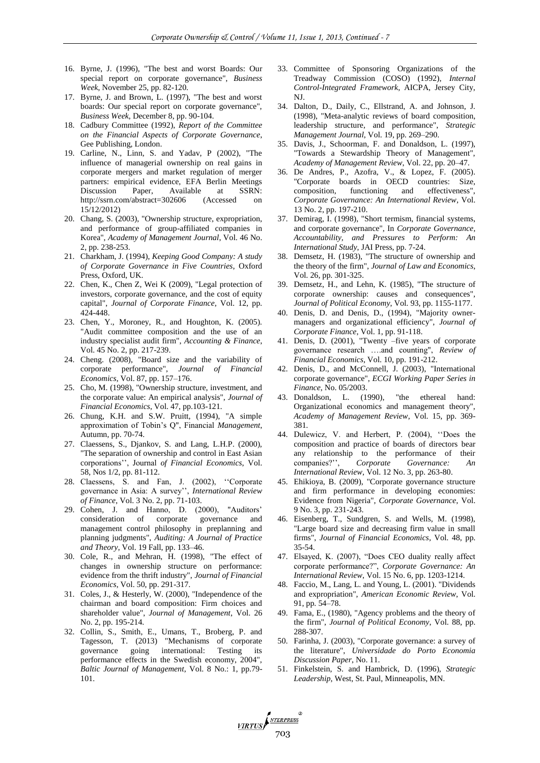- 16. Byrne, J. (1996), "The best and worst Boards: Our special report on corporate governance", *Business Week*, November 25, pp. 82-120.
- 17. Byrne, J. and Brown, L. (1997), "The best and worst boards: Our special report on corporate governance", *Business Week*, December 8, pp. 90-104.
- 18. Cadbury Committee (1992), *Report of the Committee on the Financial Aspects of Corporate Governance*, Gee Publishing, London.
- 19. Carline, N., Linn, S. and Yadav, P (2002), "The influence of managerial ownership on real gains in corporate mergers and market regulation of merger partners: empirical evidence, EFA Berlin Meetings Discussion Paper, Available at SSRN: http://ssrn.com/abstract=302606 (Accessed 15/12/2012)
- 20. Chang, S. (2003), "Ownership structure, expropriation, and performance of group-affiliated companies in Korea", *Academy of Management Journal*, Vol. 46 No. 2, pp. 238-253.
- 21. Charkham, J. (1994), *Keeping Good Company: A study of Corporate Governance in Five Countries*, Oxford Press, Oxford, UK.
- 22. Chen, K., Chen Z, Wei K (2009), "Legal protection of investors, corporate governance, and the cost of equity capital", *Journal of Corporate Finance*, Vol. 12, pp. 424-448.
- 23. Chen, Y., Moroney, R., and Houghton, K. (2005). "Audit committee composition and the use of an industry specialist audit firm", *Accounting & Finance*, Vol. 45 No. 2, pp. 217-239.
- 24. Cheng. (2008), "Board size and the variability of corporate performance", *Journal of Financial Economics*, Vol. 87, pp. 157–176.
- 25. Cho, M. (1998), "Ownership structure, investment, and the corporate value: An empirical analysis", *Journal of Financial Economics*, Vol. 47, pp.103-121.
- 26. Chung, K.H. and S.W. Pruitt, (1994), "A simple approximation of Tobin's Q", Financial *Management*, Autumn, pp. 70-74.
- 27. Claessens, S., Djankov, S. and Lang, L.H.P. (2000), "The separation of ownership and control in East Asian corporations'', Journal *of Financial Economics*, Vol. 58, Nos 1/2, pp. 81-112.
- 28. Claessens, S. and Fan, J. (2002), ''Corporate governance in Asia: A survey'', *International Review of Finance*, Vol. 3 No. 2, pp. 71-103.
- 29. Cohen, J. and Hanno, D. (2000), "Auditors' consideration of corporate governance and management control philosophy in preplanning and planning judgments", *Auditing: A Journal of Practice and Theory*, Vol. 19 Fall, pp. 133–46.
- 30. Cole, R., and Mehran, H. (1998), "The effect of changes in ownership structure on performance: evidence from the thrift industry", *Journal of Financial Economics*, Vol. 50, pp. 291-317.
- 31. Coles, J., & Hesterly, W. (2000), "Independence of the chairman and board composition: Firm choices and shareholder value", *Journal of Management*, Vol. 26 No. 2, pp. 195-214.
- 32. Collin, S., Smith, E., Umans, T., Broberg, P. and Tagesson, T. (2013) "Mechanisms of corporate governance going international: Testing its performance effects in the Swedish economy, 2004", *Baltic Journal of Management*, Vol. 8 No.: 1, pp.79- 101.

VIRTUS

- 33. Committee of Sponsoring Organizations of the Treadway Commission (COSO) (1992), *Internal Control-Integrated Framework*, AICPA, Jersey City, NJ.
- 34. Dalton, D., Daily, C., Ellstrand, A. and Johnson, J. (1998), "Meta-analytic reviews of board composition, leadership structure, and performance", *Strategic Management Journal*, Vol. 19, pp. 269–290.
- 35. Davis, J., Schoorman, F. and Donaldson, L. (1997), "Towards a Stewardship Theory of Management", *Academy of Management Review*, Vol. 22, pp. 20–47.
- 36. De Andres, P., Azofra, V., & Lopez, F. (2005). "Corporate boards in OECD countries: Size, composition, functioning and effectiveness", *Corporate Governance: An International Review*, Vol. 13 No. 2, pp. 197-210.
- 37. Demirag, I. (1998), "Short termism, financial systems, and corporate governance", In *Corporate Governance, Accountability, and Pressures to Perform: An International Study*, JAI Press, pp. 7-24.
- 38. Demsetz, H. (1983), "The structure of ownership and the theory of the firm", *Journal of Law and Economics*, Vol. 26, pp. 301-325.
- 39. Demsetz, H., and Lehn, K. (1985), "The structure of corporate ownership: causes and consequences", *Journal of Political Economy*, Vol. 93, pp. 1155-1177.
- 40. Denis, D. and Denis, D., (1994), "Majority ownermanagers and organizational efficiency", *Journal of Corporate Finance*, Vol. 1, pp. 91-118.
- 41. Denis, D. (2001), "Twenty –five years of corporate governance research ….and counting", *Review of Financial Economics*, Vol. 10, pp. 191-212.
- 42. Denis, D., and McConnell, J. (2003), "International corporate governance", *ECGI Working Paper Series in Finance*, No. 05/2003.
- 43. Donaldson, L. (1990), "the ethereal hand: Organizational economics and management theory", *Academy of Management Review*, Vol. 15, pp. 369- 381.
- 44. Dulewicz, V. and Herbert, P. (2004), ''Does the composition and practice of boards of directors bear any relationship to the performance of their companies?", *Corporate Governance: International Review*, Vol. 12 No. 3, pp. 263-80.
- 45. Ehikioya, B. (2009), "Corporate governance structure and firm performance in developing economies: Evidence from Nigeria", *Corporate Governance*, Vol. 9 No. 3, pp. 231-243.
- 46. Eisenberg, T., Sundgren, S. and Wells, M. (1998), "Large board size and decreasing firm value in small firms", *Journal of Financial Economics*, Vol. 48, pp. 35-54.
- 47. Elsayed, K. (2007), "Does CEO duality really affect corporate performance?", *Corporate Governance: An International Review*, Vol. 15 No. 6, pp. 1203-1214.
- 48. Faccio, M., Lang, L. and Young, L. (2001). "Dividends and expropriation", *American Economic Review*, Vol. 91, pp. 54–78.
- 49. Fama, E., (1980), "Agency problems and the theory of the firm", *Journal of Political Economy*, Vol. 88, pp. 288-307.
- 50. Farinha, J. (2003), "Corporate governance: a survey of the literature", *Universidade do Porto Economia Discussion Paper*, No. 11.
- 51. Finkelstein, S. and Hambrick, D. (1996), *Strategic Leadership*, West, St. Paul, Minneapolis, MN.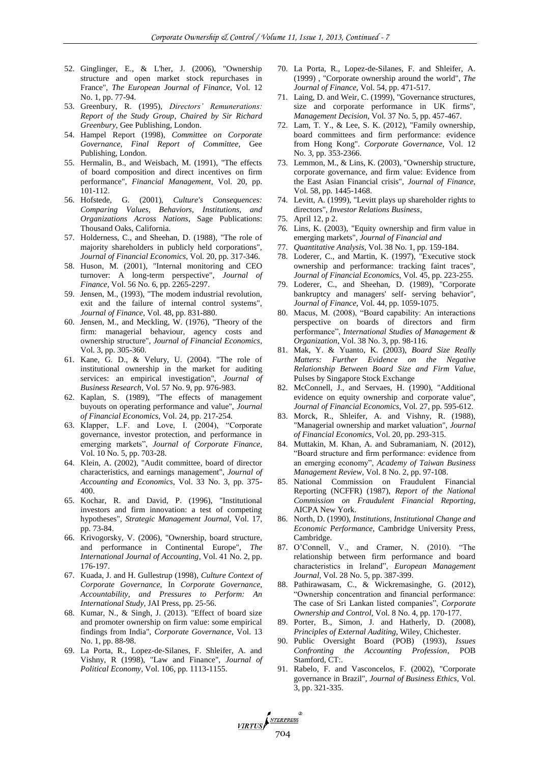- 52. Ginglinger, E., & L'her, J. (2006), "Ownership structure and open market stock repurchases in France", *The European Journal of Finance*, Vol. 12 No. 1, pp. 77-94.
- 53. Greenbury, R. (1995), *Directors' Remunerations: Report of the Study Group*, *Chaired by Sir Richard Greenbury*, Gee Publishing, London.
- 54. Hampel Report (1998), *Committee on Corporate Governance, Final Report of Committee*, Gee Publishing, London.
- 55. Hermalin, B., and Weisbach, M. (1991), "The effects of board composition and direct incentives on firm performance", *Financial Management*, Vol. 20, pp. 101-112.
- 56. Hofstede, G. (2001), *Culture's Consequences: Comparing Values, Behaviors, Institutions, and Organizations Across Nations*, Sage Publications: Thousand Oaks, California.
- 57. Holderness, C., and Sheehan, D. (1988), "The role of majority shareholders in publicly held corporations", *Journal of Financial Economics*, Vol. 20, pp. 317-346.
- 58. Huson, M. (2001), "Internal monitoring and CEO turnover: A long-term perspective", *Journal of Finance*, Vol. 56 No. 6, pp. 2265-2297.
- 59. Jensen, M., (1993), "The modem industrial revolution, exit and the failure of internal control systems", *Journal of Finance*, Vol. 48, pp. 831-880.
- 60. Jensen, M., and Meckling, W. (1976), "Theory of the firm: managerial behaviour, agency costs and ownership structure", *Journal of Financial Economics*, Vol. 3, pp. 305-360.
- 61. Kane, G. D., & Velury, U. (2004). "The role of institutional ownership in the market for auditing services: an empirical investigation", *Journal of Business Research*, Vol. 57 No. 9, pp. 976-983.
- 62. Kaplan, S. (1989), "The effects of management buyouts on operating performance and value", *Journal of Financial Economics*, Vol. 24, pp. 217-254.
- 63. Klapper, L.F. and Love, I. (2004), "Corporate governance, investor protection, and performance in emerging markets", *Journal of Corporate Finance*, Vol. 10 No. 5, pp. 703-28.
- 64. Klein, A. (2002), "Audit committee, board of director characteristics, and earnings management", *Journal of Accounting and Economics*, Vol. 33 No. 3, pp. 375- 400.
- 65. Kochar, R. and David, P. (1996), "Institutional investors and firm innovation: a test of competing hypotheses", *Strategic Management Journal*, Vol. 17, pp. 73-84.
- 66. Krivogorsky, V. (2006), "Ownership, board structure, and performance in Continental Europe", *The International Journal of Accounting*, Vol. 41 No. 2, pp. 176-197.
- 67. Kuada, J. and H. Gullestrup (1998), *Culture Context of Corporate Governance*, In *Corporate Governance, Accountability, and Pressures to Perform: An International Study*, JAI Press, pp. 25-56.
- 68. Kumar, N., & Singh, J. (2013). "Effect of board size and promoter ownership on firm value: some empirical findings from India", *Corporate Governance*, Vol. 13 No. 1, pp. 88-98.
- 69. La Porta, R., Lopez-de-Silanes, F. Shleifer, A. and Vishny, R (1998), "Law and Finance", *Journal of Political Economy*, Vol. 106, pp. 1113-1155.

VIRTUS

- 70. La Porta, R., Lopez-de-Silanes, F. and Shleifer, A. (1999) , "Corporate ownership around the world", *The Journal of Finance*, Vol. 54, pp. 471-517.
- 71. Laing, D. and Weir, C. (1999), "Governance structures, size and corporate performance in UK firms", *Management Decision*, Vol. 37 No. 5, pp. 457-467.
- 72. Lam, T. Y., & Lee, S. K. (2012), "Family ownership, board committees and firm performance: evidence from Hong Kong". *Corporate Governance*, Vol. 12 No. 3, pp. 353-2366.
- 73. Lemmon, M., & Lins, K. (2003), "Ownership structure, corporate governance, and firm value: Evidence from the East Asian Financial crisis", *Journal of Finance*, Vol. 58, pp. 1445-1468.
- 74. Levitt, A. (1999), "Levitt plays up shareholder rights to directors", *Investor Relations Business*,
- 75. April 12, p 2.
- *76.* Lins, K. (2003), "Equity ownership and firm value in emerging markets", *Journal of Financial and*
- 77. *Quantitative Analysis*, Vol. 38 No. 1, pp. 159-184.
- 78. Loderer, C., and Martin, K. (1997), "Executive stock ownership and performance: tracking faint traces", *Journal of Financial Economics*, Vol. 45, pp. 223-255.
- 79. Loderer, C., and Sheehan, D. (1989), "Corporate bankruptcy and managers' self- serving behavior", *Journal of Finance*, Vol. 44, pp. 1059-1075.
- 80. Macus, M. (2008), "Board capability: An interactions perspective on boards of directors and firm performance", *International Studies of Management & Organization*, Vol. 38 No. 3, pp. 98-116.
- 81. Mak, Y. & Yuanto, K. (2003), *Board Size Really Matters: Further Evidence on the Negative Relationship Between Board Size and Firm Value*, Pulses by Singapore Stock Exchange
- 82. McConnell, J., and Servaes, H. (1990), "Additional evidence on equity ownership and corporate value", *Journal of Financial Economics*, Vol. 27, pp. 595-612.
- 83. Morck, R., Shleifer, A. and Vishny, R. (1988), "Managerial ownership and market valuation", *Journal of Financial Economics*, Vol. 20, pp. 293-315.
- 84. Muttakin, M. Khan, A. and Subramaniam, N. (2012), "Board structure and firm performance: evidence from an emerging economy", *Academy of Taiwan Business Management Review*, Vol. 8 No. 2, pp. 97-108.
- 85. National Commission on Fraudulent Financial Reporting (NCFFR) (1987), *Report of the National Commission on Fraudulent Financial Reporting*, AICPA New York.
- 86. North, D. (1990), *Institutions, Institutional Change and Economic Performance*, Cambridge University Press, Cambridge.
- 87. O'Connell, V., and Cramer, N. (2010). "The relationship between firm performance and board characteristics in Ireland", *European Management Journal*, Vol. 28 No. 5, pp. 387-399.
- 88. Pathirawasam, C., & Wickremasinghe, G. (2012), "Ownership concentration and financial performance: The case of Sri Lankan listed companies", *Corporate Ownership and Control*, Vol. 8 No. 4, pp. 170-177.
- 89. Porter, B., Simon, J. and Hatherly, D. (2008), *Principles of External Auditing*, Wiley, Chichester.
- 90. Public Oversight Board (POB) (1993), *Issues Confronting the Accounting Profession*, POB Stamford, CT:.
- 91. Rabelo, F. and Vasconcelos, F. (2002), "Corporate governance in Brazil", *Journal of Business Ethics*, Vol. 3, pp. 321-335.